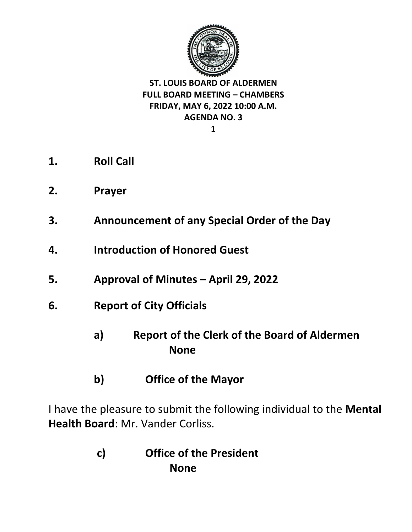

**1**

- **1. Roll Call**
- **2. Prayer**
- **3. Announcement of any Special Order of the Day**
- **4. Introduction of Honored Guest**
- **5. Approval of Minutes – April 29, 2022**
- **6. Report of City Officials** 
	- **a) Report of the Clerk of the Board of Aldermen None**
	- **b) Office of the Mayor**

I have the pleasure to submit the following individual to the **Mental Health Board**: Mr. Vander Corliss.

> **c) Office of the President None**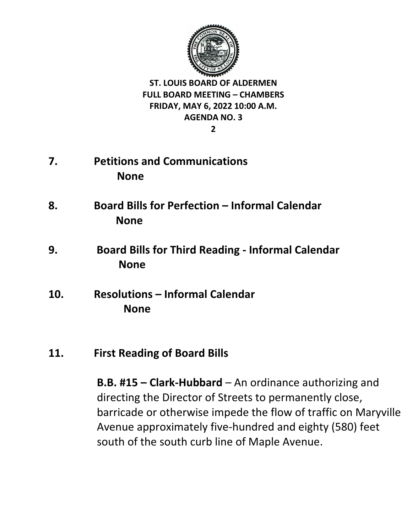

**2**

- **7. Petitions and Communications None**
- **8. Board Bills for Perfection – Informal Calendar None**
- **9. Board Bills for Third Reading - Informal Calendar None**
- **10. Resolutions – Informal Calendar None**
- **11. First Reading of Board Bills**

**B.B. #15 – Clark-Hubbard** – An ordinance authorizing and directing the Director of Streets to permanently close, barricade or otherwise impede the flow of traffic on Maryville Avenue approximately five-hundred and eighty (580) feet south of the south curb line of Maple Avenue.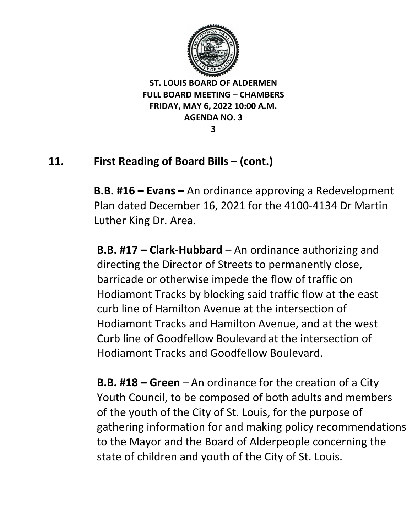

**3**

# **11. First Reading of Board Bills – (cont.)**

**B.B. #16 – Evans –** An ordinance approving a Redevelopment Plan dated December 16, 2021 for the 4100-4134 Dr Martin Luther King Dr. Area.

**B.B. #17 – Clark-Hubbard** – An ordinance authorizing and directing the Director of Streets to permanently close, barricade or otherwise impede the flow of traffic on Hodiamont Tracks by blocking said traffic flow at the east curb line of Hamilton Avenue at the intersection of Hodiamont Tracks and Hamilton Avenue, and at the west Curb line of Goodfellow Boulevard at the intersection of Hodiamont Tracks and Goodfellow Boulevard.

**B.B. #18 – Green** – An ordinance for the creation of a City Youth Council, to be composed of both adults and members of the youth of the City of St. Louis, for the purpose of gathering information for and making policy recommendations to the Mayor and the Board of Alderpeople concerning the state of children and youth of the City of St. Louis.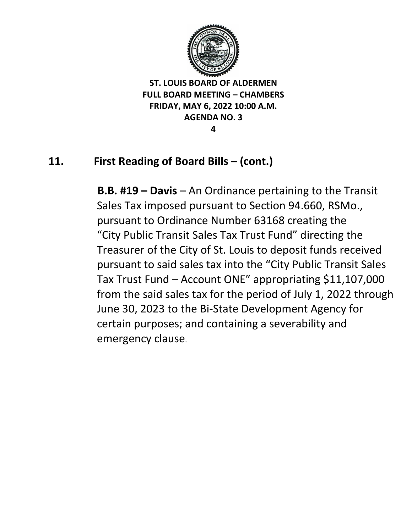

**4**

# **11. First Reading of Board Bills – (cont.)**

 **B.B. #19 – Davis** – An Ordinance pertaining to the Transit Sales Tax imposed pursuant to Section 94.660, RSMo., pursuant to Ordinance Number 63168 creating the "City Public Transit Sales Tax Trust Fund" directing the Treasurer of the City of St. Louis to deposit funds received pursuant to said sales tax into the "City Public Transit Sales Tax Trust Fund – Account ONE" appropriating \$11,107,000 from the said sales tax for the period of July 1, 2022 through June 30, 2023 to the Bi-State Development Agency for certain purposes; and containing a severability and emergency clause.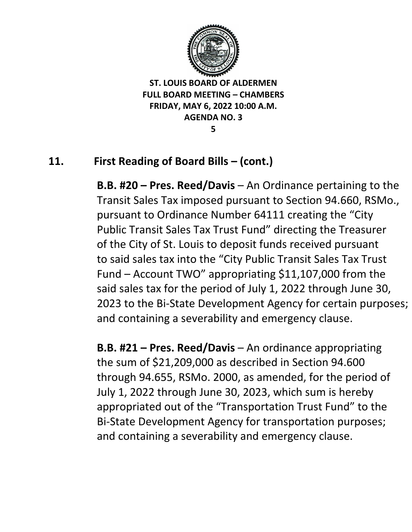

**5**

# **11. First Reading of Board Bills – (cont.)**

**B.B. #20 – Pres. Reed/Davis** – An Ordinance pertaining to the Transit Sales Tax imposed pursuant to Section 94.660, RSMo., pursuant to Ordinance Number 64111 creating the "City Public Transit Sales Tax Trust Fund" directing the Treasurer of the City of St. Louis to deposit funds received pursuant to said sales tax into the "City Public Transit Sales Tax Trust Fund – Account TWO" appropriating \$11,107,000 from the said sales tax for the period of July 1, 2022 through June 30, 2023 to the Bi-State Development Agency for certain purposes; and containing a severability and emergency clause.

**B.B. #21 – Pres. Reed/Davis** – An ordinance appropriating the sum of \$21,209,000 as described in Section 94.600 through 94.655, RSMo. 2000, as amended, for the period of July 1, 2022 through June 30, 2023, which sum is hereby appropriated out of the "Transportation Trust Fund" to the Bi-State Development Agency for transportation purposes; and containing a severability and emergency clause.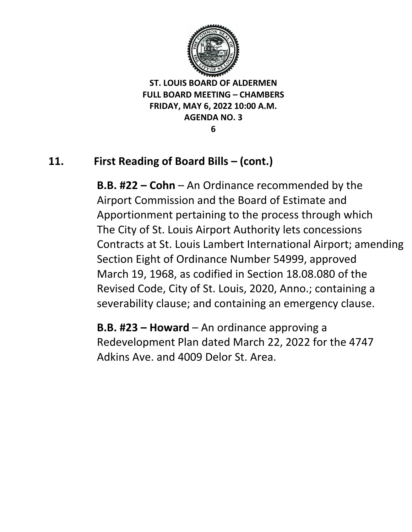

**6**

# **11. First Reading of Board Bills – (cont.)**

**B.B. #22 – Cohn** – An Ordinance recommended by the Airport Commission and the Board of Estimate and Apportionment pertaining to the process through which The City of St. Louis Airport Authority lets concessions Contracts at St. Louis Lambert International Airport; amending Section Eight of Ordinance Number 54999, approved March 19, 1968, as codified in Section 18.08.080 of the Revised Code, City of St. Louis, 2020, Anno.; containing a severability clause; and containing an emergency clause.

**B.B. #23 – Howard** – An ordinance approving a Redevelopment Plan dated March 22, 2022 for the 4747 Adkins Ave. and 4009 Delor St. Area.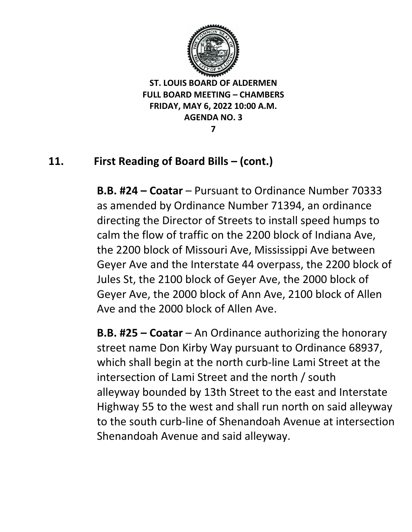

**7**

# **11. First Reading of Board Bills – (cont.)**

**B.B. #24 – Coatar** – Pursuant to Ordinance Number 70333 as amended by Ordinance Number 71394, an ordinance directing the Director of Streets to install speed humps to calm the flow of traffic on the 2200 block of Indiana Ave, the 2200 block of Missouri Ave, Mississippi Ave between Geyer Ave and the Interstate 44 overpass, the 2200 block of Jules St, the 2100 block of Geyer Ave, the 2000 block of Geyer Ave, the 2000 block of Ann Ave, 2100 block of Allen Ave and the 2000 block of Allen Ave.

**B.B. #25 – Coatar** – An Ordinance authorizing the honorary street name Don Kirby Way pursuant to Ordinance 68937, which shall begin at the north curb-line Lami Street at the intersection of Lami Street and the north / south alleyway bounded by 13th Street to the east and Interstate Highway 55 to the west and shall run north on said alleyway to the south curb-line of Shenandoah Avenue at intersection Shenandoah Avenue and said alleyway.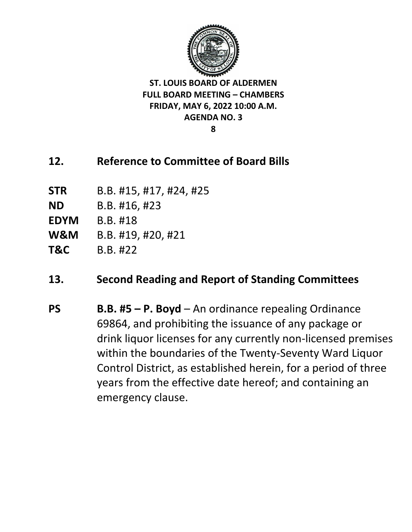

**8**

## **12. Reference to Committee of Board Bills**

- **STR** B.B. #15, #17, #24, #25
- **ND** B.B. #16, #23
- **EDYM** B.B. #18
- **W&M** B.B. #19, #20, #21
- **T&C** B.B. #22

## **13. Second Reading and Report of Standing Committees**

**PS B.B. #5 – P. Boyd** – An ordinance repealing Ordinance 69864, and prohibiting the issuance of any package or drink liquor licenses for any currently non-licensed premises within the boundaries of the Twenty-Seventy Ward Liquor Control District, as established herein, for a period of three years from the effective date hereof; and containing an emergency clause.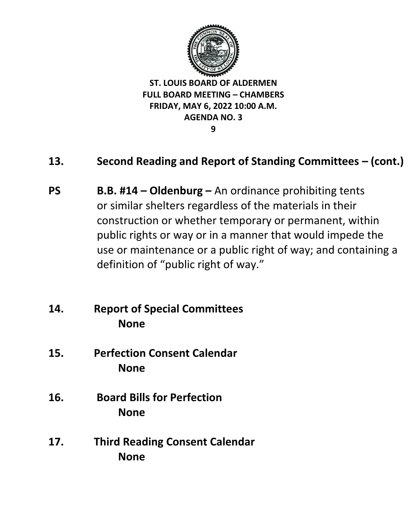

#### **9**

## **13. Second Reading and Report of Standing Committees – (cont.)**

- **PS B.B. #14 – Oldenburg –** An ordinance prohibiting tents or similar shelters regardless of the materials in their construction or whether temporary or permanent, within public rights or way or in a manner that would impede the use or maintenance or a public right of way; and containing a definition of "public right of way."
- **14. Report of Special Committees None**
- **15. Perfection Consent Calendar None**
- **16. Board Bills for Perfection None**
- **17. Third Reading Consent Calendar None**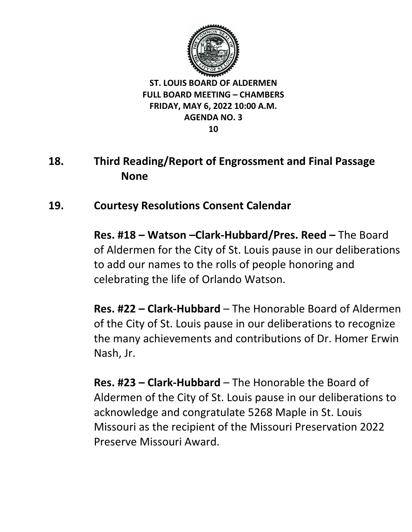

# **18. Third Reading/Report of Engrossment and Final Passage None**

## **19. Courtesy Resolutions Consent Calendar**

**Res. #18 – Watson –Clark-Hubbard/Pres. Reed –** The Board of Aldermen for the City of St. Louis pause in our deliberations to add our names to the rolls of people honoring and celebrating the life of Orlando Watson.

**Res. #22 – Clark-Hubbard** – The Honorable Board of Aldermen of the City of St. Louis pause in our deliberations to recognize the many achievements and contributions of Dr. Homer Erwin Nash, Jr.

**Res. #23 – Clark-Hubbard** – The Honorable the Board of Aldermen of the City of St. Louis pause in our deliberations to acknowledge and congratulate 5268 Maple in St. Louis Missouri as the recipient of the Missouri Preservation 2022 Preserve Missouri Award.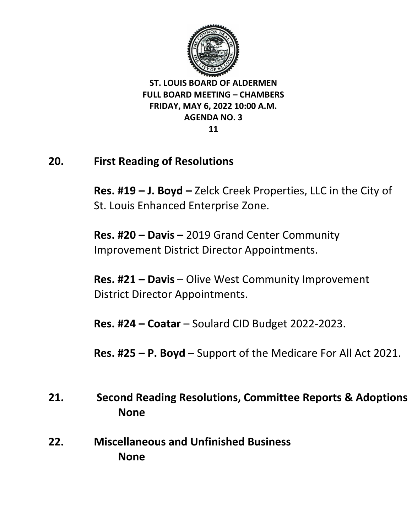

## **20. First Reading of Resolutions**

**Res. #19 – J. Boyd –** Zelck Creek Properties, LLC in the City of St. Louis Enhanced Enterprise Zone.

**Res. #20 – Davis –** 2019 Grand Center Community Improvement District Director Appointments.

**Res. #21 – Davis** – Olive West Community Improvement District Director Appointments.

**Res. #24 – Coatar** – Soulard CID Budget 2022-2023.

**Res. #25 – P. Boyd** – Support of the Medicare For All Act 2021.

- **21. Second Reading Resolutions, Committee Reports & Adoptions None**
- **22. Miscellaneous and Unfinished Business None**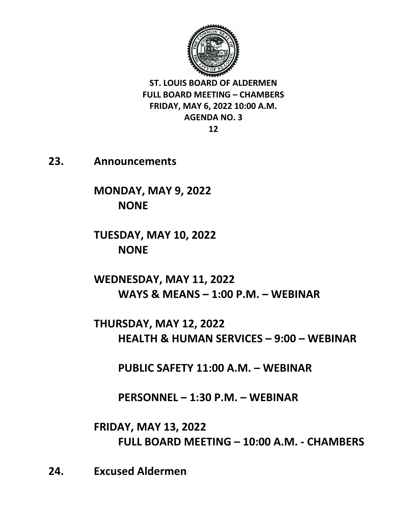

**12**

**23. Announcements** 

**MONDAY, MAY 9, 2022 NONE**

**TUESDAY, MAY 10, 2022 NONE**

**WEDNESDAY, MAY 11, 2022 WAYS & MEANS – 1:00 P.M. – WEBINAR** 

**THURSDAY, MAY 12, 2022 HEALTH & HUMAN SERVICES – 9:00 – WEBINAR** 

**PUBLIC SAFETY 11:00 A.M. – WEBINAR** 

**PERSONNEL – 1:30 P.M. – WEBINAR** 

**FRIDAY, MAY 13, 2022 FULL BOARD MEETING – 10:00 A.M. - CHAMBERS**

**24. Excused Aldermen**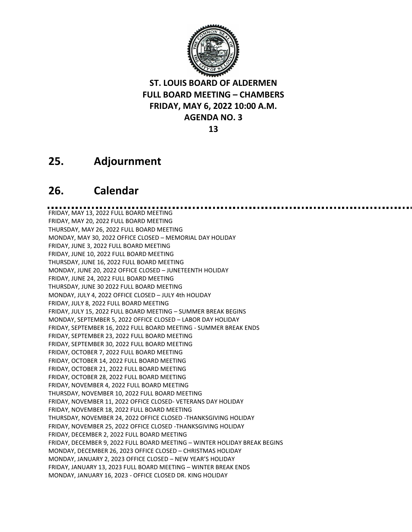

**13**

## **25. Adjournment**

### **26. Calendar**

FRIDAY, MAY 13, 2022 FULL BOARD MEETING FRIDAY, MAY 20, 2022 FULL BOARD MEETING THURSDAY, MAY 26, 2022 FULL BOARD MEETING MONDAY, MAY 30, 2022 OFFICE CLOSED – MEMORIAL DAY HOLIDAY FRIDAY, JUNE 3, 2022 FULL BOARD MEETING FRIDAY, JUNE 10, 2022 FULL BOARD MEETING THURSDAY, JUNE 16, 2022 FULL BOARD MEETING MONDAY, JUNE 20, 2022 OFFICE CLOSED – JUNETEENTH HOLIDAY FRIDAY, JUNE 24, 2022 FULL BOARD MEETING THURSDAY, JUNE 30 2022 FULL BOARD MEETING MONDAY, JULY 4, 2022 OFFICE CLOSED – JULY 4th HOLIDAY FRIDAY, JULY 8, 2022 FULL BOARD MEETING FRIDAY, JULY 15, 2022 FULL BOARD MEETING – SUMMER BREAK BEGINS MONDAY, SEPTEMBER 5, 2022 OFFICE CLOSED – LABOR DAY HOLIDAY FRIDAY, SEPTEMBER 16, 2022 FULL BOARD MEETING - SUMMER BREAK ENDS FRIDAY, SEPTEMBER 23, 2022 FULL BOARD MEETING FRIDAY, SEPTEMBER 30, 2022 FULL BOARD MEETING FRIDAY, OCTOBER 7, 2022 FULL BOARD MEETING FRIDAY, OCTOBER 14, 2022 FULL BOARD MEETING FRIDAY, OCTOBER 21, 2022 FULL BOARD MEETING FRIDAY, OCTOBER 28, 2022 FULL BOARD MEETING FRIDAY, NOVEMBER 4, 2022 FULL BOARD MEETING THURSDAY, NOVEMBER 10, 2022 FULL BOARD MEETING FRIDAY, NOVEMBER 11, 2022 OFFICE CLOSED- VETERANS DAY HOLIDAY FRIDAY, NOVEMBER 18, 2022 FULL BOARD MEETING THURSDAY, NOVEMBER 24, 2022 OFFICE CLOSED -THANKSGIVING HOLIDAY FRIDAY, NOVEMBER 25, 2022 OFFICE CLOSED -THANKSGIVING HOLIDAY FRIDAY, DECEMBER 2, 2022 FULL BOARD MEETING FRIDAY, DECEMBER 9, 2022 FULL BOARD MEETING – WINTER HOLIDAY BREAK BEGINS MONDAY, DECEMBER 26, 2023 OFFICE CLOSED – CHRISTMAS HOLIDAY MONDAY, JANUARY 2, 2023 OFFICE CLOSED – NEW YEAR'S HOLIDAY FRIDAY, JANUARY 13, 2023 FULL BOARD MEETING – WINTER BREAK ENDS MONDAY, JANUARY 16, 2023 - OFFICE CLOSED DR. KING HOLIDAY